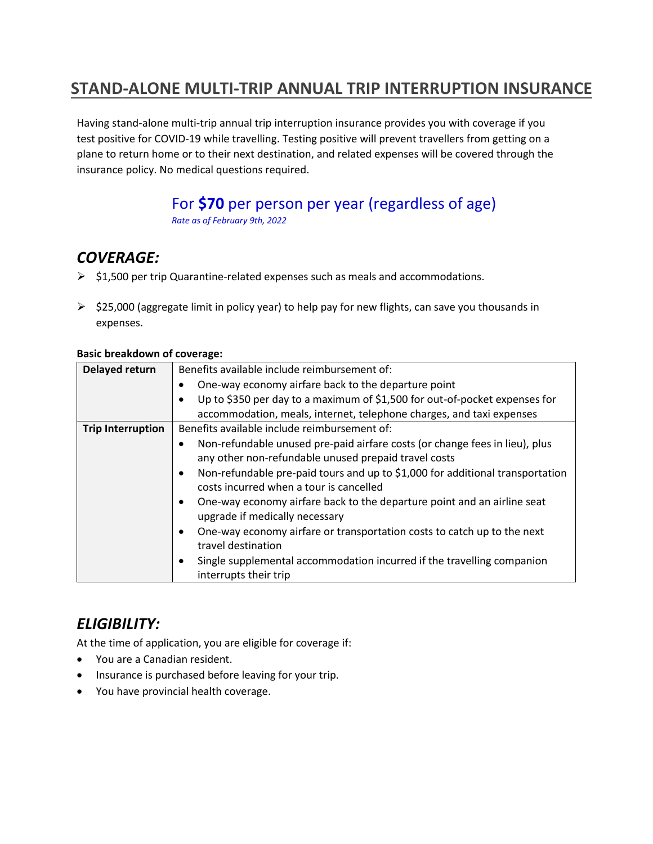## **STAND-ALONE MULTI-TRIP ANNUAL TRIP INTERRUPTION INSURANCE**

Having stand-alone multi-trip annual trip interruption insurance provides you with coverage if you test positive for COVID-19 while travelling. Testing positive will prevent travellers from getting on a plane to return home or to their next destination, and related expenses will be covered through the insurance policy. No medical questions required.

# For **\$70** per person per year (regardless of age)

*Rate as of February 9th, 2022* 

## *COVERAGE:*

- $\triangleright$  \$1,500 per trip Quarantine-related expenses such as meals and accommodations.
- $\triangleright$  \$25,000 (aggregate limit in policy year) to help pay for new flights, can save you thousands in expenses.

### **Delayed return** | Benefits available include reimbursement of: • One-way economy airfare back to the departure point • Up to \$350 per day to a maximum of \$1,500 for out-of-pocket expenses for accommodation, meals, internet, telephone charges, and taxi expenses **Trip Interruption** | Benefits available include reimbursement of: • Non-refundable unused pre-paid airfare costs (or change fees in lieu), plus any other non-refundable unused prepaid travel costs • Non-refundable pre-paid tours and up to \$1,000 for additional transportation costs incurred when a tour is cancelled • One-way economy airfare back to the departure point and an airline seat upgrade if medically necessary • One-way economy airfare or transportation costs to catch up to the next

#### **Basic breakdown of coverage:**

travel destination • Single supplemental accommodation incurred if the travelling companion interrupts their trip

## *ELIGIBILITY:*

At the time of application, you are eligible for coverage if:

- You are a Canadian resident.
- Insurance is purchased before leaving for your trip.
- You have provincial health coverage.